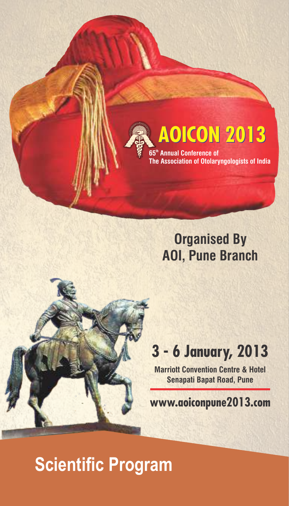

**th 65 Annual Conference of The Association of Otolaryngologists of India**

### **Organised By AOI, Pune Branch**

# 3 - 6 January, 2013

**Marriott Convention Centre & Hotel Senapati Bapat Road, Pune**

www.aoiconpune2013.com

## **Scientific Program**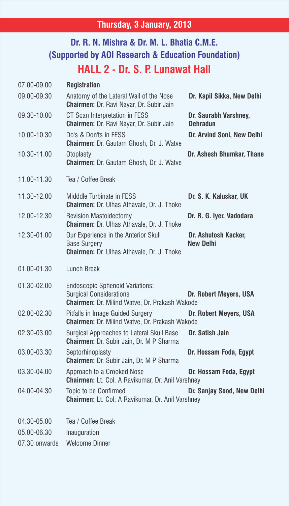#### **Thursday, 3 January, 2013**

#### **Dr. R. N. Mishra & Dr. M. L. Bhatia C.M.E. (Supported by AOI Research & Education Foundation) HALL 2 - Dr. S. P. Lunawat Hall**

| 07.00-09.00   | <b>Registration</b>                                                                                                               |                                          |
|---------------|-----------------------------------------------------------------------------------------------------------------------------------|------------------------------------------|
| 09.00-09.30   | Anatomy of the Lateral Wall of the Nose<br>Chairmen: Dr. Ravi Nayar, Dr. Subir Jain                                               | Dr. Kapil Sikka, New Delhi               |
| 09.30-10.00   | CT Scan Interpretation in FESS<br>Chairmen: Dr. Ravi Nayar, Dr. Subir Jain                                                        | Dr. Saurabh Varshney,<br>Dehradun        |
| 10.00-10.30   | Do's & Don'ts in FESS<br><b>Chairmen:</b> Dr. Gautam Ghosh, Dr. J. Watve                                                          | Dr. Arvind Soni, New Delhi               |
| 10.30-11.00   | Otoplasty<br>Chairmen: Dr. Gautam Ghosh, Dr. J. Watve                                                                             | Dr. Ashesh Bhumkar, Thane                |
| 11.00-11.30   | Tea / Coffee Break                                                                                                                |                                          |
| 11.30-12.00   | Midddle Turbinate in FESS<br><b>Chairmen:</b> Dr. Ulhas Athavale, Dr. J. Thoke                                                    | Dr. S. K. Kaluskar, UK                   |
| 12.00-12.30   | <b>Revision Mastoidectomy</b><br><b>Chairmen:</b> Dr. Ulhas Athavale, Dr. J. Thoke                                                | Dr. R. G. Iyer, Vadodara                 |
| 12.30-01.00   | Our Experience in the Anterior Skull<br><b>Base Surgery</b><br>Chairmen: Dr. Ulhas Athavale, Dr. J. Thoke                         | Dr. Ashutosh Kacker,<br><b>New Delhi</b> |
| 01.00-01.30   | Lunch Break                                                                                                                       |                                          |
| 01.30-02.00   | <b>Endoscopic Sphenoid Variations:</b><br><b>Surgical Considerations</b><br><b>Chairmen: Dr. Milind Watve, Dr. Prakash Wakode</b> | Dr. Robert Meyers, USA                   |
| 02.00-02.30   | Pitfalls in Image Guided Surgery<br>Chairmen: Dr. Milind Watve, Dr. Prakash Wakode                                                | Dr. Robert Meyers, USA                   |
| 02.30-03.00   | Surgical Approaches to Lateral Skull Base<br><b>Chairmen:</b> Dr. Subir Jain, Dr. M P Sharma                                      | Dr. Satish Jain                          |
| 03.00-03.30   | Septorhinoplasty<br>Chairmen: Dr. Subir Jain, Dr. M P Sharma                                                                      | Dr. Hossam Foda, Egypt                   |
| 03.30-04.00   | Approach to a Crooked Nose<br>Chairmen: Lt. Col. A Ravikumar, Dr. Anil Varshney                                                   | Dr. Hossam Foda, Egypt                   |
| 04.00-04.30   | Topic to be Confirmed<br><b>Chairmen:</b> Lt. Col. A Ravikumar, Dr. Anil Varshney                                                 | Dr. Sanjay Sood, New Delhi               |
| 04.30-05.00   | Tea / Coffee Break                                                                                                                |                                          |
| 05.00-06.30   | Inauguration                                                                                                                      |                                          |
| 07.30 onwards | Welcome Dinner                                                                                                                    |                                          |